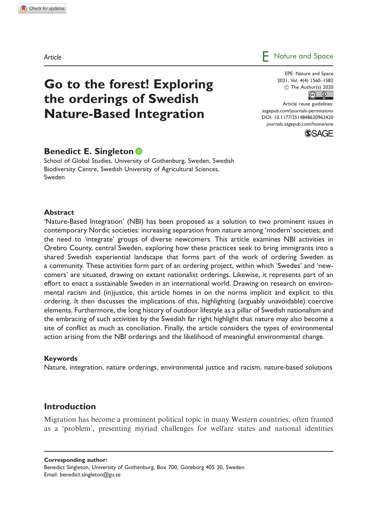# Go to the forest! Exploring the orderings of Swedish Nature-Based Integration

EPE: Nature and Space  $\circled{c}$  The Author(s) 2020 2021, Vol. 4(4) 1560–1582

Article reuse guidelines: [sagepub.com/journals-permissions](http://uk.sagepub.com/en-gb/journals-permissions) [DOI: 10.1177/2514848620962420](http://dx.doi.org/10.1177/2514848620962420) <journals.sagepub.com/home/ene>



# Benedict E. Singleton **D**

School of Global Studies, University of Gothenburg, Sweden; Swedish Biodiversity Centre, Swedish University of Agricultural Sciences, Sweden

#### **Abstract**

'Nature-Based Integration' (NBI) has been proposed as a solution to two prominent issues in contemporary Nordic societies: increasing separation from nature among 'modern' societies; and the need to 'integrate' groups of diverse newcomers. This article examines NBI activities in Orebro County, central Sweden, exploring how these practices seek to bring immigrants into a shared Swedish experiential landscape that forms part of the work of ordering Sweden as a community. These activities form part of an ordering project, within which 'Swedes' and 'newcomers' are situated, drawing on extant nationalist orderings. Likewise, it represents part of an effort to enact a sustainable Sweden in an international world. Drawing on research on environmental racism and (in)justice, this article homes in on the norms implicit and explicit to this ordering. It then discusses the implications of this, highlighting (arguably unavoidable) coercive elements. Furthermore, the long history of outdoor lifestyle as a pillar of Swedish nationalism and the embracing of such activities by the Swedish far right highlight that nature may also become a site of conflict as much as conciliation. Finally, the article considers the types of environmental action arising from the NBI orderings and the likelihood of meaningful environmental change.

#### Keywords

Nature, integration, nature orderings, environmental justice and racism, nature-based solutions

# Introduction

Migration has become a prominent political topic in many Western countries, often framed as a 'problem', presenting myriad challenges for welfare states and national identities

Corresponding author:

Benedict Singleton, University of Gothenburg, Box 700, Göteborg 405 30, Sweden. Email: [benedict.singleton@gu.se](mailto:benedict.singleton@gu.se)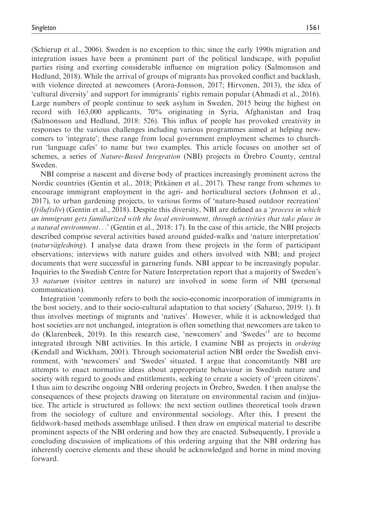(Schierup et al., 2006). Sweden is no exception to this; since the early 1990s migration and integration issues have been a prominent part of the political landscape, with populist parties rising and exerting considerable influence on migration policy (Salmonsson and Hedlund, 2018). While the arrival of groups of migrants has provoked conflict and backlash, with violence directed at newcomers (Arora-Jonsson, 2017; Hirvonen, 2013), the idea of 'cultural diversity' and support for immigrants' rights remain popular (Ahmadi et al., 2016). Large numbers of people continue to seek asylum in Sweden, 2015 being the highest on record with 163,000 applicants, 70% originating in Syria, Afghanistan and Iraq (Salmonsson and Hedlund, 2018: 526). This influx of people has provoked creativity in responses to the various challenges including various programmes aimed at helping newcomers to 'integrate'; these range from local government employment schemes to churchrun 'language cafes' to name but two examples. This article focuses on another set of schemes, a series of Nature-Based Integration (NBI) projects in Orebro County, central Sweden.

NBI comprise a nascent and diverse body of practices increasingly prominent across the Nordic countries (Gentin et al., 2018; Pitkänen et al., 2017). These range from schemes to encourage immigrant employment in the agri- and horticultural sectors (Johnson et al., 2017), to urban gardening projects, to various forms of 'nature-based outdoor recreation' *(friluftsliv)* (Gentin et al., 2018). Despite this diversity, NBI are defined as a '*process in which* an immigrant gets familiarized with the local environment, through activities that take place in a natural environment...' (Gentin et al., 2018: 17). In the case of this article, the NBI projects described comprise several activities based around guided-walks and 'nature interpretation' (*naturvägledning*). I analyse data drawn from these projects in the form of participant observations; interviews with nature guides and others involved with NBI; and project documents that were successful in garnering funds. NBI appear to be increasingly popular. Inquiries to the Swedish Centre for Nature Interpretation report that a majority of Sweden's 33 naturum (visitor centres in nature) are involved in some form of NBI (personal communication).

Integration 'commonly refers to both the socio-economic incorporation of immigrants in the host society, and to their socio-cultural adaptation to that society' (Saharso, 2019: 1). It thus involves meetings of migrants and 'natives'. However, while it is acknowledged that host societies are not unchanged, integration is often something that newcomers are taken to do (Klarenbeek, 2019). In this research case, 'newcomers' and 'Swedes'1 are to become integrated through NBI activities. In this article, I examine NBI as projects in ordering (Kendall and Wickham, 2001). Through sociomaterial action NBI order the Swedish environment, with 'newcomers' and 'Swedes' situated. I argue that concomitantly NBI are attempts to enact normative ideas about appropriate behaviour in Swedish nature and society with regard to goods and entitlements, seeking to create a society of 'green citizens'. I thus aim to describe ongoing NBI ordering projects in Orebro, Sweden. I then analyse the consequences of these projects drawing on literature on environmental racism and (in)justice. The article is structured as follows: the next section outlines theoretical tools drawn from the sociology of culture and environmental sociology. After this, I present the fieldwork-based methods assemblage utilised. I then draw on empirical material to describe prominent aspects of the NBI ordering and how they are enacted. Subsequently, I provide a concluding discussion of implications of this ordering arguing that the NBI ordering has inherently coercive elements and these should be acknowledged and borne in mind moving forward.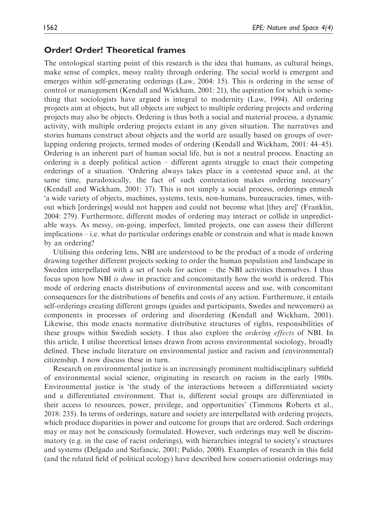## Order! Order! Theoretical frames

The ontological starting point of this research is the idea that humans, as cultural beings, make sense of complex, messy reality through ordering. The social world is emergent and emerges within self-generating orderings (Law, 2004: 15). This is ordering in the sense of control or management (Kendall and Wickham, 2001: 21), the aspiration for which is something that sociologists have argued is integral to modernity (Law, 1994). All ordering projects aim at objects, but all objects are subject to multiple ordering projects and ordering projects may also be objects. Ordering is thus both a social and material process, a dynamic activity, with multiple ordering projects extant in any given situation. The narratives and stories humans construct about objects and the world are usually based on groups of overlapping ordering projects, termed modes of ordering (Kendall and Wickham, 2001: 44–45). Ordering is an inherent part of human social life, but is not a neutral process. Enacting an ordering is a deeply political action – different agents struggle to enact their competing orderings of a situation. 'Ordering always takes place in a contested space and, at the same time, paradoxically, the fact of such contestation makes ordering necessary' (Kendall and Wickham, 2001: 37). This is not simply a social process, orderings enmesh 'a wide variety of objects, machines, systems, texts, non-humans, bureaucracies, times, without which [orderings] would not happen and could not become what [they are]' (Franklin, 2004: 279). Furthermore, different modes of ordering may interact or collide in unpredictable ways. As messy, on-going, imperfect, limited projects, one can assess their different implications – i.e. what do particular orderings enable or constrain and what is made known by an ordering?

Utilising this ordering lens, NBI are understood to be the product of a mode of ordering drawing together different projects seeking to order the human population and landscape in Sweden interpellated with a set of tools for action – the NBI activities themselves. I thus focus upon how NBI is done in practice and concomitantly how the world is ordered. This mode of ordering enacts distributions of environmental access and use, with concomitant consequences for the distributions of benefits and costs of any action. Furthermore, it entails self-orderings creating different groups (guides and participants, Swedes and newcomers) as components in processes of ordering and disordering (Kendall and Wickham, 2001). Likewise, this mode enacts normative distributive structures of rights, responsibilities of these groups within Swedish society. I thus also explore the ordering effects of NBI. In this article, I utilise theoretical lenses drawn from across environmental sociology, broadly defined. These include literature on environmental justice and racism and (environmental) citizenship. I now discuss these in turn.

Research on environmental justice is an increasingly prominent multidisciplinary subfield of environmental social science, originating in research on racism in the early 1980s. Environmental justice is 'the study of the interactions between a differentiated society and a differentiated environment. That is, different social groups are differentiated in their access to resources, power, privilege, and opportunities' (Timmons Roberts et al., 2018: 235). In terms of orderings, nature and society are interpellated with ordering projects, which produce disparities in power and outcome for groups that are ordered. Such orderings may or may not be consciously formulated. However, such orderings may well be discriminatory (e.g. in the case of racist orderings), with hierarchies integral to society's structures and systems (Delgado and Stefancic, 2001; Pulido, 2000). Examples of research in this field (and the related field of political ecology) have described how conservationist orderings may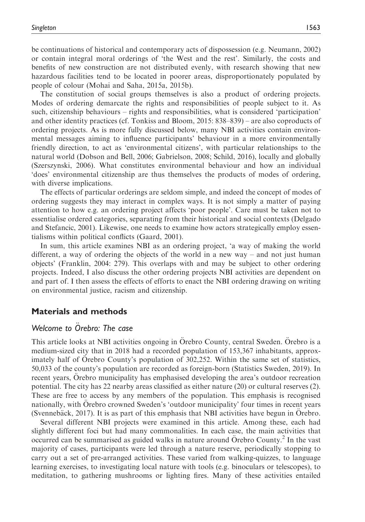be continuations of historical and contemporary acts of dispossession (e.g. Neumann, 2002) or contain integral moral orderings of 'the West and the rest'. Similarly, the costs and benefits of new construction are not distributed evenly, with research showing that new hazardous facilities tend to be located in poorer areas, disproportionately populated by people of colour (Mohai and Saha, 2015a, 2015b).

The constitution of social groups themselves is also a product of ordering projects. Modes of ordering demarcate the rights and responsibilities of people subject to it. As such, citizenship behaviours – rights and responsibilities, what is considered 'participation' and other identity practices (cf. Tonkiss and Bloom, 2015: 838–839) – are also coproducts of ordering projects. As is more fully discussed below, many NBI activities contain environmental messages aiming to influence participants' behaviour in a more environmentally friendly direction, to act as 'environmental citizens', with particular relationships to the natural world (Dobson and Bell, 2006; Gabrielson, 2008; Schild, 2016), locally and globally (Szerszynski, 2006). What constitutes environmental behaviour and how an individual 'does' environmental citizenship are thus themselves the products of modes of ordering, with diverse implications.

The effects of particular orderings are seldom simple, and indeed the concept of modes of ordering suggests they may interact in complex ways. It is not simply a matter of paying attention to how e.g. an ordering project affects 'poor people'. Care must be taken not to essentialise ordered categories, separating from their historical and social contexts (Delgado and Stefancic, 2001). Likewise, one needs to examine how actors strategically employ essentialisms within political conflicts (Gaard, 2001).

In sum, this article examines NBI as an ordering project, 'a way of making the world different, a way of ordering the objects of the world in a new way – and not just human objects' (Franklin, 2004: 279). This overlaps with and may be subject to other ordering projects. Indeed, I also discuss the other ordering projects NBI activities are dependent on and part of. I then assess the effects of efforts to enact the NBI ordering drawing on writing on environmental justice, racism and citizenship.

# Materials and methods

### Welcome to Orebro: The case

This article looks at NBI activities ongoing in Orebro County, central Sweden. Orebro is a medium-sized city that in 2018 had a recorded population of 153,367 inhabitants, approximately half of Orebro County's population of 302,252. Within the same set of statistics, 50,033 of the county's population are recorded as foreign-born (Statistics Sweden, 2019). In recent years, Orebro municipality has emphasised developing the area's outdoor recreation potential. The city has 22 nearby areas classified as either nature (20) or cultural reserves (2). These are free to access by any members of the population. This emphasis is recognised nationally, with Orebro crowned Sweden's 'outdoor municipality' four times in recent years (Svennebäck, 2017). It is as part of this emphasis that NBI activities have begun in Orebro.

Several different NBI projects were examined in this article. Among these, each had slightly different foci but had many commonalities. In each case, the main activities that occurred can be summarised as guided walks in nature around Orebro County.<sup>2</sup> In the vast majority of cases, participants were led through a nature reserve, periodically stopping to carry out a set of pre-arranged activities. These varied from walking-quizzes, to language learning exercises, to investigating local nature with tools (e.g. binoculars or telescopes), to meditation, to gathering mushrooms or lighting fires. Many of these activities entailed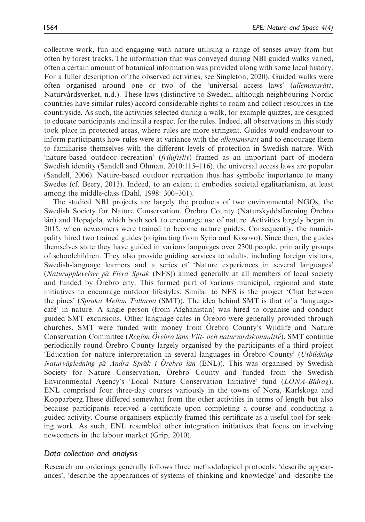collective work, fun and engaging with nature utilising a range of senses away from but often by forest tracks. The information that was conveyed during NBI guided walks varied, often a certain amount of botanical information was provided along with some local history. For a fuller description of the observed activities, see Singleton, 2020). Guided walks were often organised around one or two of the 'universal access laws' *(allemansrätt,* Naturvårdsverket, n.d.). These laws (distinctive to Sweden, although neighbouring Nordic countries have similar rules) accord considerable rights to roam and collect resources in the countryside. As such, the activities selected during a walk, for example quizzes, are designed to educate participants and instil a respect for the rules. Indeed, all observations in this study took place in protected areas, where rules are more stringent. Guides would endeavour to inform participants how rules were at variance with the *allemansratt* and to encourage them to familiarise themselves with the different levels of protection in Swedish nature. With 'nature-based outdoor recreation' (friluftsliv) framed as an important part of modern Swedish identity (Sandell and Ohman,  $2010:115-116$ ), the universal access laws are popular (Sandell, 2006). Nature-based outdoor recreation thus has symbolic importance to many Swedes (cf. Beery, 2013). Indeed, to an extent it embodies societal egalitarianism, at least among the middle-class (Dahl, 1998: 300–301).

The studied NBI projects are largely the products of two environmental NGOs, the Swedish Society for Nature Conservation, Orebro County (Naturskyddsförening Orebro län) and Hopajola, which both seek to encourage use of nature. Activities largely began in 2015, when newcomers were trained to become nature guides. Consequently, the municipality hired two trained guides (originating from Syria and Kosovo). Since then, the guides themselves state they have guided in various languages over 2300 people, primarily groups of schoolchildren. They also provide guiding services to adults, including foreign visitors, Swedish-language learners and a series of 'Nature experiences in several languages' (Naturupplevelser på Flera Språk (NFS)) aimed generally at all members of local society and funded by Orebro city. This formed part of various municipal, regional and state initiatives to encourage outdoor lifestyles. Similar to NFS is the project 'Chat between the pines' (Språka Mellan Tallarna (SMT)). The idea behind SMT is that of a 'languagecafé' in nature. A single person (from Afghanistan) was hired to organise and conduct guided SMT excursions. Other language cafes in Orebro were generally provided through churches. SMT were funded with money from Orebro County's Wildlife and Nature Conservation Committee (Region Örebro läns Vilt- och naturvårdskommitté). SMT continue periodically round Orebro County largely organised by the participants of a third project 'Education for nature interpretation in several languages in Orebro County' (Utbildning) Naturvägledning på Andra Språk i Orebro län (ENL)). This was organised by Swedish Society for Nature Conservation, Orebro County and funded from the Swedish Environmental Agency's 'Local Nature Conservation Initiative' fund (LONA-Bidrag). ENL comprised four three-day courses variously in the towns of Nora, Karlskoga and Kopparberg.These differed somewhat from the other activities in terms of length but also because participants received a certificate upon completing a course and conducting a guided activity. Course organisers explicitly framed this certificate as a useful tool for seeking work. As such, ENL resembled other integration initiatives that focus on involving newcomers in the labour market (Grip, 2010).

### Data collection and analysis

Research on orderings generally follows three methodological protocols: 'describe appearances', 'describe the appearances of systems of thinking and knowledge' and 'describe the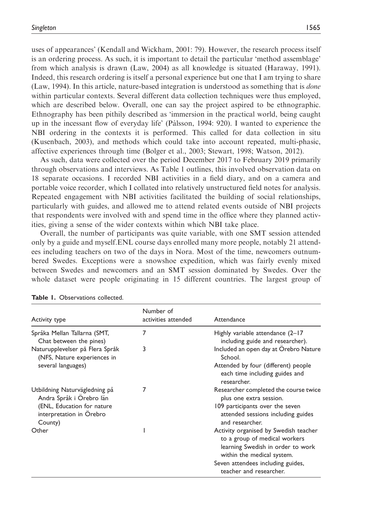uses of appearances' (Kendall and Wickham, 2001: 79). However, the research process itself is an ordering process. As such, it is important to detail the particular 'method assemblage' from which analysis is drawn (Law, 2004) as all knowledge is situated (Haraway, 1991). Indeed, this research ordering is itself a personal experience but one that I am trying to share (Law, 1994). In this article, nature-based integration is understood as something that is done within particular contexts. Several different data collection techniques were thus employed, which are described below. Overall, one can say the project aspired to be ethnographic. Ethnography has been pithily described as 'immersion in the practical world, being caught up in the incessant flow of everyday life' (Pa´lsson, 1994: 920). I wanted to experience the NBI ordering in the contexts it is performed. This called for data collection in situ (Kusenbach, 2003), and methods which could take into account repeated, multi-phasic, affective experiences through time (Bolger et al., 2003; Stewart, 1998; Watson, 2012).

As such, data were collected over the period December 2017 to February 2019 primarily through observations and interviews. As Table 1 outlines, this involved observation data on 18 separate occasions. I recorded NBI activities in a field diary, and on a camera and portable voice recorder, which I collated into relatively unstructured field notes for analysis. Repeated engagement with NBI activities facilitated the building of social relationships, particularly with guides, and allowed me to attend related events outside of NBI projects that respondents were involved with and spend time in the office where they planned activities, giving a sense of the wider contexts within which NBI take place.

Overall, the number of participants was quite variable, with one SMT session attended only by a guide and myself.ENL course days enrolled many more people, notably 21 attendees including teachers on two of the days in Nora. Most of the time, newcomers outnumbered Swedes. Exceptions were a snowshoe expedition, which was fairly evenly mixed between Swedes and newcomers and an SMT session dominated by Swedes. Over the whole dataset were people originating in 15 different countries. The largest group of

| Activity type                                                                           | Number of<br>activities attended | Attendance                                                                                                                                |
|-----------------------------------------------------------------------------------------|----------------------------------|-------------------------------------------------------------------------------------------------------------------------------------------|
| Språka Mellan Tallarna (SMT,<br>Chat between the pines)                                 | 7                                | Highly variable attendance (2-17<br>including guide and researcher).                                                                      |
| Naturupplevelser på Flera Språk<br>(NFS, Nature experiences in<br>several languages)    | 3                                | Included an open day at Örebro Nature<br>School.                                                                                          |
|                                                                                         |                                  | Attended by four (different) people<br>each time including guides and<br>researcher.                                                      |
| Utbildning Naturvägledning på<br>Andra Språk i Orebro län<br>(ENL, Education for nature |                                  | Researcher completed the course twice<br>plus one extra session.<br>109 participants over the seven                                       |
| interpretation in Orebro<br>County)                                                     |                                  | attended sessions including guides<br>and researcher.                                                                                     |
| Other                                                                                   |                                  | Activity organised by Swedish teacher<br>to a group of medical workers<br>learning Swedish in order to work<br>within the medical system. |
|                                                                                         |                                  | Seven attendees including guides,<br>teacher and researcher.                                                                              |

Table 1. Observations collected.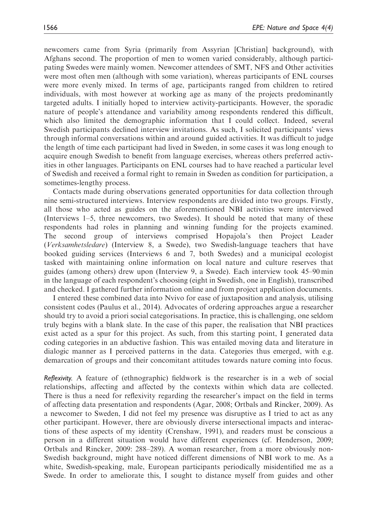newcomers came from Syria (primarily from Assyrian [Christian] background), with Afghans second. The proportion of men to women varied considerably, although participating Swedes were mainly women. Newcomer attendees of SMT, NFS and Other activities were most often men (although with some variation), whereas participants of ENL courses were more evenly mixed. In terms of age, participants ranged from children to retired individuals, with most however at working age as many of the projects predominantly targeted adults. I initially hoped to interview activity-participants. However, the sporadic nature of people's attendance and variability among respondents rendered this difficult, which also limited the demographic information that I could collect. Indeed, several Swedish participants declined interview invitations. As such, I solicited participants' views through informal conversations within and around guided activities. It was difficult to judge the length of time each participant had lived in Sweden, in some cases it was long enough to acquire enough Swedish to benefit from language exercises, whereas others preferred activities in other languages. Participants on ENL courses had to have reached a particular level of Swedish and received a formal right to remain in Sweden as condition for participation, a sometimes-lengthy process.

Contacts made during observations generated opportunities for data collection through nine semi-structured interviews. Interview respondents are divided into two groups. Firstly, all those who acted as guides on the aforementioned NBI activities were interviewed (Interviews 1–5, three newcomers, two Swedes). It should be noted that many of these respondents had roles in planning and winning funding for the projects examined. The second group of interviews comprised Hopajola's then Project Leader (Verksamhetsledare) (Interview 8, a Swede), two Swedish-language teachers that have booked guiding services (Interviews 6 and 7, both Swedes) and a municipal ecologist tasked with maintaining online information on local nature and culture reserves that guides (among others) drew upon (Interview 9, a Swede). Each interview took 45–90 min in the language of each respondent's choosing (eight in Swedish, one in English), transcribed and checked. I gathered further information online and from project application documents.

I entered these combined data into Nvivo for ease of juxtaposition and analysis, utilising consistent codes (Paulus et al., 2014). Advocates of ordering approaches argue a researcher should try to avoid a priori social categorisations. In practice, this is challenging, one seldom truly begins with a blank slate. In the case of this paper, the realisation that NBI practices exist acted as a spur for this project. As such, from this starting point, I generated data coding categories in an abductive fashion. This was entailed moving data and literature in dialogic manner as I perceived patterns in the data. Categories thus emerged, with e.g. demarcation of groups and their concomitant attitudes towards nature coming into focus.

Reflexivity. A feature of (ethnographic) fieldwork is the researcher is in a web of social relationships, affecting and affected by the contexts within which data are collected. There is thus a need for reflexivity regarding the researcher's impact on the field in terms of affecting data presentation and respondents (Agar, 2008; Ortbals and Rincker, 2009). As a newcomer to Sweden, I did not feel my presence was disruptive as I tried to act as any other participant. However, there are obviously diverse intersectional impacts and interactions of these aspects of my identity (Crenshaw, 1991), and readers must be conscious a person in a different situation would have different experiences (cf. Henderson, 2009; Ortbals and Rincker, 2009: 288–289). A woman researcher, from a more obviously non-Swedish background, might have noticed different dimensions of NBI work to me. As a white, Swedish-speaking, male, European participants periodically misidentified me as a Swede. In order to ameliorate this, I sought to distance myself from guides and other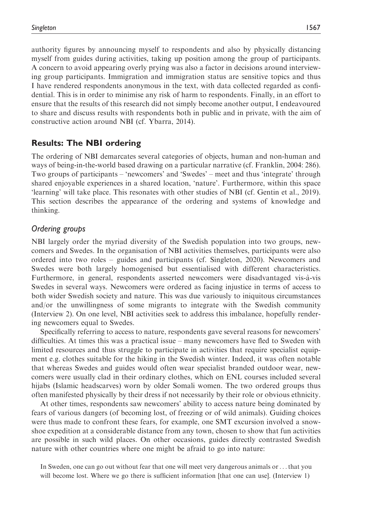authority figures by announcing myself to respondents and also by physically distancing myself from guides during activities, taking up position among the group of participants. A concern to avoid appearing overly prying was also a factor in decisions around interviewing group participants. Immigration and immigration status are sensitive topics and thus I have rendered respondents anonymous in the text, with data collected regarded as confidential. This is in order to minimise any risk of harm to respondents. Finally, in an effort to ensure that the results of this research did not simply become another output, I endeavoured to share and discuss results with respondents both in public and in private, with the aim of constructive action around NBI (cf. Ybarra, 2014).

# Results: The NBI ordering

The ordering of NBI demarcates several categories of objects, human and non-human and ways of being-in-the-world based drawing on a particular narrative (cf. Franklin, 2004: 286). Two groups of participants – 'newcomers' and 'Swedes' – meet and thus 'integrate' through shared enjoyable experiences in a shared location, 'nature'. Furthermore, within this space 'learning' will take place. This resonates with other studies of NBI (cf. Gentin et al., 2019). This section describes the appearance of the ordering and systems of knowledge and thinking.

# Ordering groups

NBI largely order the myriad diversity of the Swedish population into two groups, newcomers and Swedes. In the organisation of NBI activities themselves, participants were also ordered into two roles – guides and participants (cf. Singleton, 2020). Newcomers and Swedes were both largely homogenised but essentialised with different characteristics. Furthermore, in general, respondents asserted newcomers were disadvantaged vis-à-vis Swedes in several ways. Newcomers were ordered as facing injustice in terms of access to both wider Swedish society and nature. This was due variously to iniquitous circumstances and/or the unwillingness of some migrants to integrate with the Swedish community (Interview 2). On one level, NBI activities seek to address this imbalance, hopefully rendering newcomers equal to Swedes.

Specifically referring to access to nature, respondents gave several reasons for newcomers' difficulties. At times this was a practical issue – many newcomers have fled to Sweden with limited resources and thus struggle to participate in activities that require specialist equipment e.g. clothes suitable for the hiking in the Swedish winter. Indeed, it was often notable that whereas Swedes and guides would often wear specialist branded outdoor wear, newcomers were usually clad in their ordinary clothes, which on ENL courses included several hijabs (Islamic headscarves) worn by older Somali women. The two ordered groups thus often manifested physically by their dress if not necessarily by their role or obvious ethnicity.

At other times, respondents saw newcomers' ability to access nature being dominated by fears of various dangers (of becoming lost, of freezing or of wild animals). Guiding choices were thus made to confront these fears, for example, one SMT excursion involved a snowshoe expedition at a considerable distance from any town, chosen to show that fun activities are possible in such wild places. On other occasions, guides directly contrasted Swedish nature with other countries where one might be afraid to go into nature:

In Sweden, one can go out without fear that one will meet very dangerous animals or... that you will become lost. Where we go there is sufficient information [that one can use]. (Interview 1)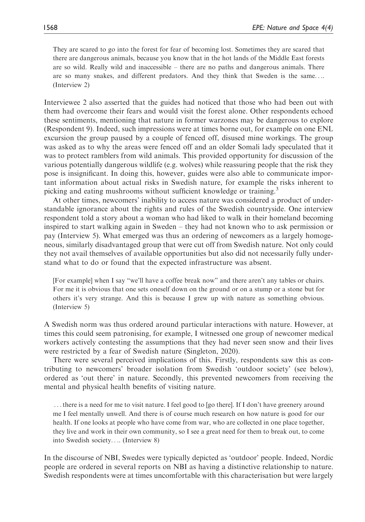They are scared to go into the forest for fear of becoming lost. Sometimes they are scared that there are dangerous animals, because you know that in the hot lands of the Middle East forests are so wild. Really wild and inaccessible – there are no paths and dangerous animals. There are so many snakes, and different predators. And they think that Sweden is the same.... (Interview 2)

Interviewee 2 also asserted that the guides had noticed that those who had been out with them had overcome their fears and would visit the forest alone. Other respondents echoed these sentiments, mentioning that nature in former warzones may be dangerous to explore (Respondent 9). Indeed, such impressions were at times borne out, for example on one ENL excursion the group paused by a couple of fenced off, disused mine workings. The group was asked as to why the areas were fenced off and an older Somali lady speculated that it was to protect ramblers from wild animals. This provided opportunity for discussion of the various potentially dangerous wildlife (e.g. wolves) while reassuring people that the risk they pose is insignificant. In doing this, however, guides were also able to communicate important information about actual risks in Swedish nature, for example the risks inherent to picking and eating mushrooms without sufficient knowledge or training.<sup>3</sup>

At other times, newcomers' inability to access nature was considered a product of understandable ignorance about the rights and rules of the Swedish countryside. One interview respondent told a story about a woman who had liked to walk in their homeland becoming inspired to start walking again in Sweden – they had not known who to ask permission or pay (Interview 5). What emerged was thus an ordering of newcomers as a largely homogeneous, similarly disadvantaged group that were cut off from Swedish nature. Not only could they not avail themselves of available opportunities but also did not necessarily fully understand what to do or found that the expected infrastructure was absent.

[For example] when I say "we'll have a coffee break now" and there aren't any tables or chairs. For me it is obvious that one sets oneself down on the ground or on a stump or a stone but for others it's very strange. And this is because I grew up with nature as something obvious. (Interview 5)

A Swedish norm was thus ordered around particular interactions with nature. However, at times this could seem patronising, for example, I witnessed one group of newcomer medical workers actively contesting the assumptions that they had never seen snow and their lives were restricted by a fear of Swedish nature (Singleton, 2020).

There were several perceived implications of this. Firstly, respondents saw this as contributing to newcomers' broader isolation from Swedish 'outdoor society' (see below), ordered as 'out there' in nature. Secondly, this prevented newcomers from receiving the mental and physical health benefits of visiting nature.

...there is a need for me to visit nature. I feel good to [go there]. If I don't have greenery around me I feel mentally unwell. And there is of course much research on how nature is good for our health. If one looks at people who have come from war, who are collected in one place together, they live and work in their own community, so I see a great need for them to break out, to come into Swedish society.... (Interview 8)

In the discourse of NBI, Swedes were typically depicted as 'outdoor' people. Indeed, Nordic people are ordered in several reports on NBI as having a distinctive relationship to nature. Swedish respondents were at times uncomfortable with this characterisation but were largely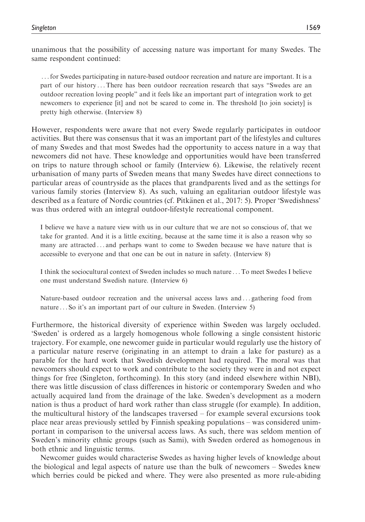...for Swedes participating in nature-based outdoor recreation and nature are important. It is a part of our history ...There has been outdoor recreation research that says "Swedes are an outdoor recreation loving people" and it feels like an important part of integration work to get newcomers to experience [it] and not be scared to come in. The threshold [to join society] is pretty high otherwise. (Interview 8)

However, respondents were aware that not every Swede regularly participates in outdoor activities. But there was consensus that it was an important part of the lifestyles and cultures of many Swedes and that most Swedes had the opportunity to access nature in a way that newcomers did not have. These knowledge and opportunities would have been transferred on trips to nature through school or family (Interview 6). Likewise, the relatively recent urbanisation of many parts of Sweden means that many Swedes have direct connections to particular areas of countryside as the places that grandparents lived and as the settings for various family stories (Interview 8). As such, valuing an egalitarian outdoor lifestyle was described as a feature of Nordic countries (cf. Pitkänen et al., 2017: 5). Proper 'Swedishness' was thus ordered with an integral outdoor-lifestyle recreational component.

I believe we have a nature view with us in our culture that we are not so conscious of, that we take for granted. And it is a little exciting, because at the same time it is also a reason why so many are attracted ... and perhaps want to come to Sweden because we have nature that is accessible to everyone and that one can be out in nature in safety. (Interview 8)

I think the sociocultural context of Sweden includes so much nature ...To meet Swedes I believe one must understand Swedish nature. (Interview 6)

Nature-based outdoor recreation and the universal access laws and ... gathering food from nature ... So it's an important part of our culture in Sweden. (Interview 5)

Furthermore, the historical diversity of experience within Sweden was largely occluded. 'Sweden' is ordered as a largely homogenous whole following a single consistent historic trajectory. For example, one newcomer guide in particular would regularly use the history of a particular nature reserve (originating in an attempt to drain a lake for pasture) as a parable for the hard work that Swedish development had required. The moral was that newcomers should expect to work and contribute to the society they were in and not expect things for free (Singleton, forthcoming). In this story (and indeed elsewhere within NBI), there was little discussion of class differences in historic or contemporary Sweden and who actually acquired land from the drainage of the lake. Sweden's development as a modern nation is thus a product of hard work rather than class struggle (for example). In addition, the multicultural history of the landscapes traversed – for example several excursions took place near areas previously settled by Finnish speaking populations – was considered unimportant in comparison to the universal access laws. As such, there was seldom mention of Sweden's minority ethnic groups (such as Sami), with Sweden ordered as homogenous in both ethnic and linguistic terms.

Newcomer guides would characterise Swedes as having higher levels of knowledge about the biological and legal aspects of nature use than the bulk of newcomers – Swedes knew which berries could be picked and where. They were also presented as more rule-abiding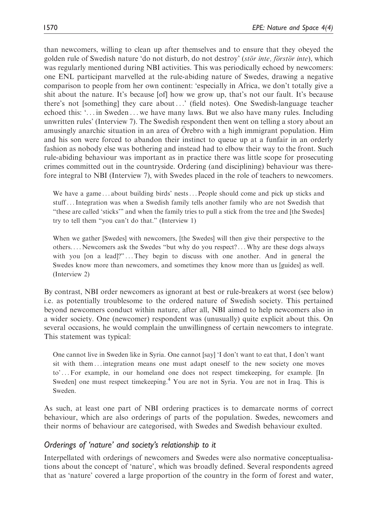than newcomers, willing to clean up after themselves and to ensure that they obeyed the golden rule of Swedish nature 'do not disturb, do not destroy' (stör inte, förstör inte), which was regularly mentioned during NBI activities. This was periodically echoed by newcomers: one ENL participant marvelled at the rule-abiding nature of Swedes, drawing a negative comparison to people from her own continent: 'especially in Africa, we don't totally give a shit about the nature. It's because [of] how we grow up, that's not our fault. It's because there's not [something] they care about ...' (field notes). One Swedish-language teacher echoed this: '... in Sweden ... we have many laws. But we also have many rules. Including unwritten rules' (Interview 7). The Swedish respondent then went on telling a story about an amusingly anarchic situation in an area of Orebro with a high immigrant population. Him and his son were forced to abandon their instinct to queue up at a funfair in an orderly fashion as nobody else was bothering and instead had to elbow their way to the front. Such rule-abiding behaviour was important as in practice there was little scope for prosecuting crimes committed out in the countryside. Ordering (and disciplining) behaviour was therefore integral to NBI (Interview 7), with Swedes placed in the role of teachers to newcomers.

We have a game...about building birds' nests...People should come and pick up sticks and stuff...Integration was when a Swedish family tells another family who are not Swedish that "these are called 'sticks'" and when the family tries to pull a stick from the tree and [the Swedes] try to tell them "you can't do that." (Interview 1)

When we gather [Swedes] with newcomers, [the Swedes] will then give their perspective to the others. ... Newcomers ask the Swedes "but why do you respect?...Why are these dogs always with you [on a lead]?"...They begin to discuss with one another. And in general the Swedes know more than newcomers, and sometimes they know more than us [guides] as well. (Interview 2)

By contrast, NBI order newcomers as ignorant at best or rule-breakers at worst (see below) i.e. as potentially troublesome to the ordered nature of Swedish society. This pertained beyond newcomers conduct within nature, after all, NBI aimed to help newcomers also in a wider society. One (newcomer) respondent was (unusually) quite explicit about this. On several occasions, he would complain the unwillingness of certain newcomers to integrate. This statement was typical:

One cannot live in Sweden like in Syria. One cannot [say] 'I don't want to eat that, I don't want sit with them ... integration means one must adapt oneself to the new society one moves to' ... For example, in our homeland one does not respect timekeeping, for example. [In Sweden] one must respect timekeeping.<sup>4</sup> You are not in Syria. You are not in Iraq. This is Sweden.

As such, at least one part of NBI ordering practices is to demarcate norms of correct behaviour, which are also orderings of parts of the population. Swedes, newcomers and their norms of behaviour are categorised, with Swedes and Swedish behaviour exulted.

# Orderings of 'nature' and society's relationship to it

Interpellated with orderings of newcomers and Swedes were also normative conceptualisations about the concept of 'nature', which was broadly defined. Several respondents agreed that as 'nature' covered a large proportion of the country in the form of forest and water,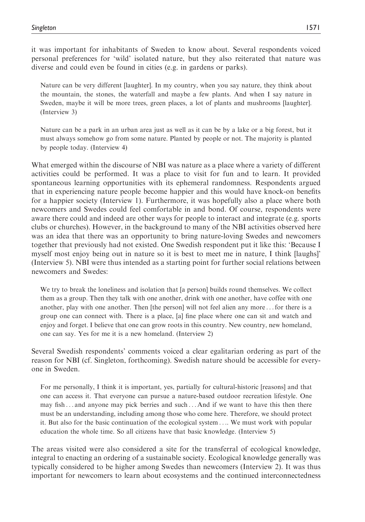it was important for inhabitants of Sweden to know about. Several respondents voiced personal preferences for 'wild' isolated nature, but they also reiterated that nature was diverse and could even be found in cities (e.g. in gardens or parks).

Nature can be very different [laughter]. In my country, when you say nature, they think about the mountain, the stones, the waterfall and maybe a few plants. And when I say nature in Sweden, maybe it will be more trees, green places, a lot of plants and mushrooms [laughter]. (Interview 3)

Nature can be a park in an urban area just as well as it can be by a lake or a big forest, but it must always somehow go from some nature. Planted by people or not. The majority is planted by people today. (Interview 4)

What emerged within the discourse of NBI was nature as a place where a variety of different activities could be performed. It was a place to visit for fun and to learn. It provided spontaneous learning opportunities with its ephemeral randomness. Respondents argued that in experiencing nature people become happier and this would have knock-on benefits for a happier society (Interview 1). Furthermore, it was hopefully also a place where both newcomers and Swedes could feel comfortable in and bond. Of course, respondents were aware there could and indeed are other ways for people to interact and integrate (e.g. sports clubs or churches). However, in the background to many of the NBI activities observed here was an idea that there was an opportunity to bring nature-loving Swedes and newcomers together that previously had not existed. One Swedish respondent put it like this: 'Because I myself most enjoy being out in nature so it is best to meet me in nature, I think [laughs]' (Interview 5). NBI were thus intended as a starting point for further social relations between newcomers and Swedes:

We try to break the loneliness and isolation that [a person] builds round themselves. We collect them as a group. Then they talk with one another, drink with one another, have coffee with one another, play with one another. Then [the person] will not feel alien any more ...for there is a group one can connect with. There is a place, [a] fine place where one can sit and watch and enjoy and forget. I believe that one can grow roots in this country. New country, new homeland, one can say. Yes for me it is a new homeland. (Interview 2)

Several Swedish respondents' comments voiced a clear egalitarian ordering as part of the reason for NBI (cf. Singleton, forthcoming). Swedish nature should be accessible for everyone in Sweden.

For me personally, I think it is important, yes, partially for cultural-historic [reasons] and that one can access it. That everyone can pursue a nature-based outdoor recreation lifestyle. One may fish ... and anyone may pick berries and such ... And if we want to have this then there must be an understanding, including among those who come here. Therefore, we should protect it. But also for the basic continuation of the ecological system .... We must work with popular education the whole time. So all citizens have that basic knowledge. (Interview 5)

The areas visited were also considered a site for the transferral of ecological knowledge, integral to enacting an ordering of a sustainable society. Ecological knowledge generally was typically considered to be higher among Swedes than newcomers (Interview 2). It was thus important for newcomers to learn about ecosystems and the continued interconnectedness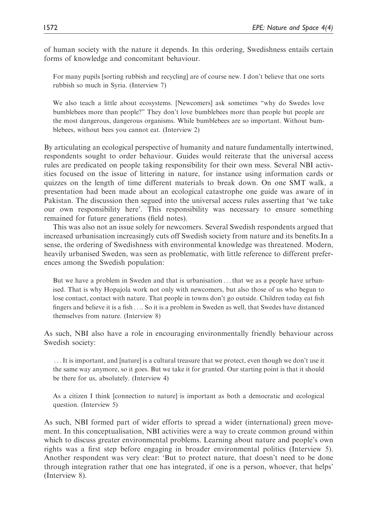of human society with the nature it depends. In this ordering, Swedishness entails certain forms of knowledge and concomitant behaviour.

For many pupils [sorting rubbish and recycling] are of course new. I don't believe that one sorts rubbish so much in Syria. (Interview 7)

We also teach a little about ecosystems. [Newcomers] ask sometimes "why do Swedes love bumblebees more than people?" They don't love bumblebees more than people but people are the most dangerous, dangerous organisms. While bumblebees are so important. Without bumblebees, without bees you cannot eat. (Interview 2)

By articulating an ecological perspective of humanity and nature fundamentally intertwined, respondents sought to order behaviour. Guides would reiterate that the universal access rules are predicated on people taking responsibility for their own mess. Several NBI activities focused on the issue of littering in nature, for instance using information cards or quizzes on the length of time different materials to break down. On one SMT walk, a presentation had been made about an ecological catastrophe one guide was aware of in Pakistan. The discussion then segued into the universal access rules asserting that 'we take our own responsibility here'. This responsibility was necessary to ensure something remained for future generations (field notes).

This was also not an issue solely for newcomers. Several Swedish respondents argued that increased urbanisation increasingly cuts off Swedish society from nature and its benefits.In a sense, the ordering of Swedishness with environmental knowledge was threatened. Modern, heavily urbanised Sweden, was seen as problematic, with little reference to different preferences among the Swedish population:

But we have a problem in Sweden and that is urbanisation ...that we as a people have urbanised. That is why Hopajola work not only with newcomers, but also those of us who begun to lose contact, contact with nature. That people in towns don't go outside. Children today eat fish fingers and believe it is a fish .... So it is a problem in Sweden as well, that Swedes have distanced themselves from nature. (Interview 8)

As such, NBI also have a role in encouraging environmentally friendly behaviour across Swedish society:

...It is important, and [nature] is a cultural treasure that we protect, even though we don't use it the same way anymore, so it goes. But we take it for granted. Our starting point is that it should be there for us, absolutely. (Interview 4)

As a citizen I think [connection to nature] is important as both a democratic and ecological question. (Interview 5)

As such, NBI formed part of wider efforts to spread a wider (international) green movement. In this conceptualisation, NBI activities were a way to create common ground within which to discuss greater environmental problems. Learning about nature and people's own rights was a first step before engaging in broader environmental politics (Interview 5). Another respondent was very clear: 'But to protect nature, that doesn't need to be done through integration rather that one has integrated, if one is a person, whoever, that helps' (Interview 8).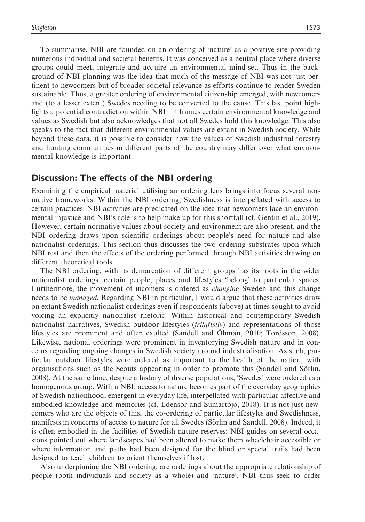To summarise, NBI are founded on an ordering of 'nature' as a positive site providing numerous individual and societal benefits. It was conceived as a neutral place where diverse groups could meet, integrate and acquire an environmental mind-set. Thus in the background of NBI planning was the idea that much of the message of NBI was not just pertinent to newcomers but of broader societal relevance as efforts continue to render Sweden sustainable. Thus, a greater ordering of environmental citizenship emerged, with newcomers and (to a lesser extent) Swedes needing to be converted to the cause. This last point highlights a potential contradiction within NBI – it frames certain environmental knowledge and values as Swedish but also acknowledges that not all Swedes hold this knowledge. This also speaks to the fact that different environmental values are extant in Swedish society. While beyond these data, it is possible to consider how the values of Swedish industrial forestry and hunting communities in different parts of the country may differ over what environmental knowledge is important.

### Discussion: The effects of the NBI ordering

Examining the empirical material utilising an ordering lens brings into focus several normative frameworks. Within the NBI ordering, Swedishness is interpellated with access to certain practices. NBI activities are predicated on the idea that newcomers face an environmental injustice and NBI's role is to help make up for this shortfall (cf. Gentin et al., 2019). However, certain normative values about society and environment are also present, and the NBI ordering draws upon scientific orderings about people's need for nature and also nationalist orderings. This section thus discusses the two ordering substrates upon which NBI rest and then the effects of the ordering performed through NBI activities drawing on different theoretical tools.

The NBI ordering, with its demarcation of different groups has its roots in the wider nationalist orderings, certain people, places and lifestyles 'belong' to particular spaces. Furthermore, the movement of incomers is ordered as *changing* Sweden and this change needs to be *managed*. Regarding NBI in particular, I would argue that these activities draw on extant Swedish nationalist orderings even if respondents (above) at times sought to avoid voicing an explicitly nationalist rhetoric. Within historical and contemporary Swedish nationalist narratives, Swedish outdoor lifestyles *(friluftsliv)* and representations of those lifestyles are prominent and often exulted (Sandell and Ohman, 2010; Tordsson, 2008). Likewise, national orderings were prominent in inventorying Swedish nature and in concerns regarding ongoing changes in Swedish society around industrialisation. As such, particular outdoor lifestyles were ordered as important to the health of the nation, with organisations such as the Scouts appearing in order to promote this (Sandell and Sörlin, 2008). At the same time, despite a history of diverse populations, 'Swedes' were ordered as a homogenous group. Within NBI, access to nature becomes part of the everyday geographies of Swedish nationhood, emergent in everyday life, interpellated with particular affective and embodied knowledge and memories (cf. Edensor and Sumartojo, 2018). It is not just newcomers who are the objects of this, the co-ordering of particular lifestyles and Swedishness, manifests in concerns of access to nature for all Swedes (Sörlin and Sandell, 2008). Indeed, it is often embodied in the facilities of Swedish nature reserves: NBI guides on several occasions pointed out where landscapes had been altered to make them wheelchair accessible or where information and paths had been designed for the blind or special trails had been designed to teach children to orient themselves if lost.

Also underpinning the NBI ordering, are orderings about the appropriate relationship of people (both individuals and society as a whole) and 'nature'. NBI thus seek to order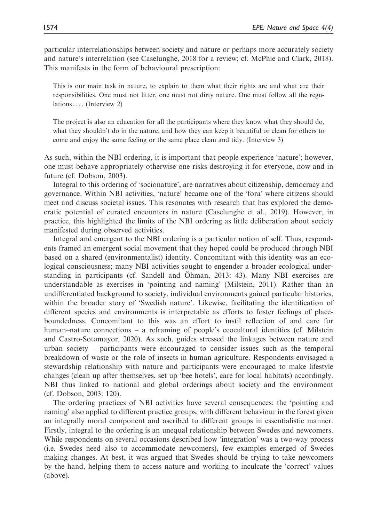particular interrelationships between society and nature or perhaps more accurately society and nature's interrelation (see Caselunghe, 2018 for a review; cf. McPhie and Clark, 2018). This manifests in the form of behavioural prescription:

This is our main task in nature, to explain to them what their rights are and what are their responsibilities. One must not litter, one must not dirty nature. One must follow all the regulations .... (Interview 2)

The project is also an education for all the participants where they know what they should do, what they shouldn't do in the nature, and how they can keep it beautiful or clean for others to come and enjoy the same feeling or the same place clean and tidy. (Interview 3)

As such, within the NBI ordering, it is important that people experience 'nature'; however, one must behave appropriately otherwise one risks destroying it for everyone, now and in future (cf. Dobson, 2003).

Integral to this ordering of 'socionature', are narratives about citizenship, democracy and governance. Within NBI activities, 'nature' became one of the 'fora' where citizens should meet and discuss societal issues. This resonates with research that has explored the democratic potential of curated encounters in nature (Caselunghe et al., 2019). However, in practice, this highlighted the limits of the NBI ordering as little deliberation about society manifested during observed activities.

Integral and emergent to the NBI ordering is a particular notion of self. Thus, respondents framed an emergent social movement that they hoped could be produced through NBI based on a shared (environmentalist) identity. Concomitant with this identity was an ecological consciousness; many NBI activities sought to engender a broader ecological understanding in participants (cf. Sandell and Ohman, 2013: 43). Many NBI exercises are understandable as exercises in 'pointing and naming' (Milstein, 2011). Rather than an undifferentiated background to society, individual environments gained particular histories, within the broader story of 'Swedish nature'. Likewise, facilitating the identification of different species and environments is interpretable as efforts to foster feelings of placeboundedness. Concomitant to this was an effort to instil reflection of and care for human–nature connections – a reframing of people's ecocultural identities (cf. Milstein and Castro-Sotomayor, 2020). As such, guides stressed the linkages between nature and urban society – participants were encouraged to consider issues such as the temporal breakdown of waste or the role of insects in human agriculture. Respondents envisaged a stewardship relationship with nature and participants were encouraged to make lifestyle changes (clean up after themselves, set up 'bee hotels', care for local habitats) accordingly. NBI thus linked to national and global orderings about society and the environment (cf. Dobson, 2003: 120).

The ordering practices of NBI activities have several consequences: the 'pointing and naming' also applied to different practice groups, with different behaviour in the forest given an integrally moral component and ascribed to different groups in essentialistic manner. Firstly, integral to the ordering is an unequal relationship between Swedes and newcomers. While respondents on several occasions described how 'integration' was a two-way process (i.e. Swedes need also to accommodate newcomers), few examples emerged of Swedes making changes. At best, it was argued that Swedes should be trying to take newcomers by the hand, helping them to access nature and working to inculcate the 'correct' values (above).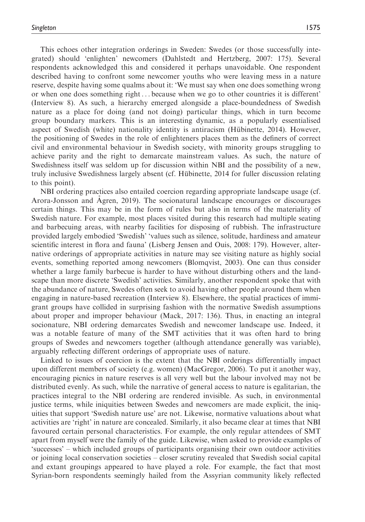This echoes other integration orderings in Sweden: Swedes (or those successfully integrated) should 'enlighten' newcomers (Dahlstedt and Hertzberg, 2007: 175). Several respondents acknowledged this and considered it perhaps unavoidable. One respondent described having to confront some newcomer youths who were leaving mess in a nature reserve, despite having some qualms about it: 'We must say when one does something wrong or when one does something right ... because when we go to other countries it is different' (Interview 8). As such, a hierarchy emerged alongside a place-boundedness of Swedish nature as a place for doing (and not doing) particular things, which in turn become group boundary markers. This is an interesting dynamic, as a popularly essentialised aspect of Swedish (white) nationality identity is antiracism (Hübinette, 2014). However, the positioning of Swedes in the role of enlighteners places them as the definers of correct civil and environmental behaviour in Swedish society, with minority groups struggling to achieve parity and the right to demarcate mainstream values. As such, the nature of Swedishness itself was seldom up for discussion within NBI and the possibility of a new, truly inclusive Swedishness largely absent (cf. Hübinette, 2014 for fuller discussion relating to this point).

NBI ordering practices also entailed coercion regarding appropriate landscape usage (cf. Arora-Jonsson and Agren, 2019). The socionatural landscape encourages or discourages certain things. This may be in the form of rules but also in terms of the materiality of Swedish nature. For example, most places visited during this research had multiple seating and barbecuing areas, with nearby facilities for disposing of rubbish. The infrastructure provided largely embodied 'Swedish' 'values such as silence, solitude, hardiness and amateur scientific interest in flora and fauna' (Lisberg Jensen and Ouis, 2008: 179). However, alternative orderings of appropriate activities in nature may see visiting nature as highly social events, something reported among newcomers (Blomqvist, 2003). One can thus consider whether a large family barbecue is harder to have without disturbing others and the landscape than more discrete 'Swedish' activities. Similarly, another respondent spoke that with the abundance of nature, Swedes often seek to avoid having other people around them when engaging in nature-based recreation (Interview 8). Elsewhere, the spatial practices of immigrant groups have collided in surprising fashion with the normative Swedish assumptions about proper and improper behaviour (Mack, 2017: 136). Thus, in enacting an integral socionature, NBI ordering demarcates Swedish and newcomer landscape use. Indeed, it was a notable feature of many of the SMT activities that it was often hard to bring groups of Swedes and newcomers together (although attendance generally was variable), arguably reflecting different orderings of appropriate uses of nature.

Linked to issues of coercion is the extent that the NBI orderings differentially impact upon different members of society (e.g. women) (MacGregor, 2006). To put it another way, encouraging picnics in nature reserves is all very well but the labour involved may not be distributed evenly. As such, while the narrative of general access to nature is egalitarian, the practices integral to the NBI ordering are rendered invisible. As such, in environmental justice terms, while iniquities between Swedes and newcomers are made explicit, the iniquities that support 'Swedish nature use' are not. Likewise, normative valuations about what activities are 'right' in nature are concealed. Similarly, it also became clear at times that NBI favoured certain personal characteristics. For example, the only regular attendees of SMT apart from myself were the family of the guide. Likewise, when asked to provide examples of 'successes' – which included groups of participants organising their own outdoor activities or joining local conservation societies – closer scrutiny revealed that Swedish social capital and extant groupings appeared to have played a role. For example, the fact that most Syrian-born respondents seemingly hailed from the Assyrian community likely reflected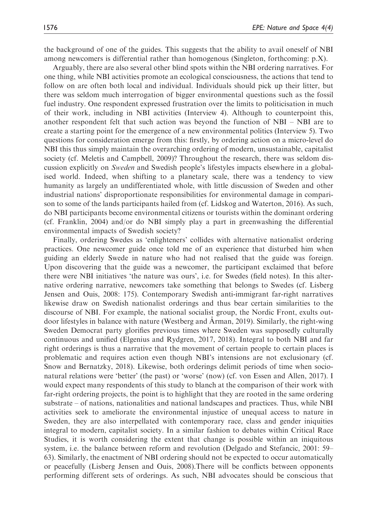the background of one of the guides. This suggests that the ability to avail oneself of NBI among newcomers is differential rather than homogenous (Singleton, forthcoming: p.X).

Arguably, there are also several other blind spots within the NBI ordering narratives. For one thing, while NBI activities promote an ecological consciousness, the actions that tend to follow on are often both local and individual. Individuals should pick up their litter, but there was seldom much interrogation of bigger environmental questions such as the fossil fuel industry. One respondent expressed frustration over the limits to politicisation in much of their work, including in NBI activities (Interview 4). Although to counterpoint this, another respondent felt that such action was beyond the function of NBI – NBI are to create a starting point for the emergence of a new environmental politics (Interview 5). Two questions for consideration emerge from this: firstly, by ordering action on a micro-level do NBI this thus simply maintain the overarching ordering of modern, unsustainable, capitalist society (cf. Meletis and Campbell, 2009)? Throughout the research, there was seldom discussion explicitly on Sweden and Swedish people's lifestyles impacts elsewhere in a globalised world. Indeed, when shifting to a planetary scale, there was a tendency to view humanity as largely an undifferentiated whole, with little discussion of Sweden and other industrial nations' disproportionate responsibilities for environmental damage in comparison to some of the lands participants hailed from (cf. Lidskog and Waterton, 2016). As such, do NBI participants become environmental citizens or tourists within the dominant ordering (cf. Franklin, 2004) and/or do NBI simply play a part in greenwashing the differential environmental impacts of Swedish society?

Finally, ordering Swedes as 'enlighteners' collides with alternative nationalist ordering practices. One newcomer guide once told me of an experience that disturbed him when guiding an elderly Swede in nature who had not realised that the guide was foreign. Upon discovering that the guide was a newcomer, the participant exclaimed that before there were NBI initiatives 'the nature was ours', i.e. for Swedes (field notes). In this alternative ordering narrative, newcomers take something that belongs to Swedes (cf. Lisberg Jensen and Ouis, 2008: 175). Contemporary Swedish anti-immigrant far-right narratives likewise draw on Swedish nationalist orderings and thus bear certain similarities to the discourse of NBI. For example, the national socialist group, the Nordic Front, exults outdoor lifestyles in balance with nature (Westberg and Arman, 2019). Similarly, the right-wing Sweden Democrat party glorifies previous times where Sweden was supposedly culturally continuous and unified (Elgenius and Rydgren, 2017, 2018). Integral to both NBI and far right orderings is thus a narrative that the movement of certain people to certain places is problematic and requires action even though NBI's intensions are not exclusionary (cf. Snow and Bernatzky, 2018). Likewise, both orderings delimit periods of time when socionatural relations were 'better' (the past) or 'worse' (now) (cf. von Essen and Allen, 2017). I would expect many respondents of this study to blanch at the comparison of their work with far-right ordering projects, the point is to highlight that they are rooted in the same ordering substrate – of nations, nationalities and national landscapes and practices. Thus, while NBI activities seek to ameliorate the environmental injustice of unequal access to nature in Sweden, they are also interpellated with contemporary race, class and gender iniquities integral to modern, capitalist society. In a similar fashion to debates within Critical Race Studies, it is worth considering the extent that change is possible within an iniquitous system, i.e. the balance between reform and revolution (Delgado and Stefancic, 2001: 59– 63). Similarly, the enactment of NBI ordering should not be expected to occur automatically or peacefully (Lisberg Jensen and Ouis, 2008).There will be conflicts between opponents performing different sets of orderings. As such, NBI advocates should be conscious that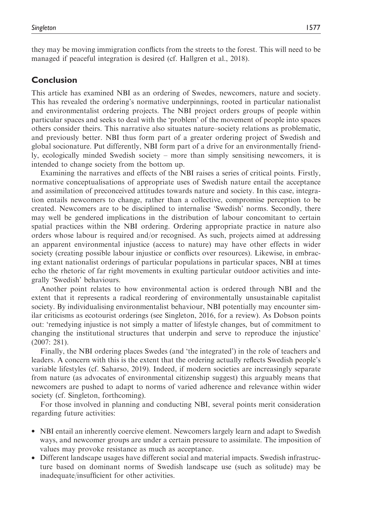they may be moving immigration conflicts from the streets to the forest. This will need to be managed if peaceful integration is desired (cf. Hallgren et al., 2018).

# Conclusion

This article has examined NBI as an ordering of Swedes, newcomers, nature and society. This has revealed the ordering's normative underpinnings, rooted in particular nationalist and environmentalist ordering projects. The NBI project orders groups of people within particular spaces and seeks to deal with the 'problem' of the movement of people into spaces others consider theirs. This narrative also situates nature–society relations as problematic, and previously better. NBI thus form part of a greater ordering project of Swedish and global socionature. Put differently, NBI form part of a drive for an environmentally friendly, ecologically minded Swedish society – more than simply sensitising newcomers, it is intended to change society from the bottom up.

Examining the narratives and effects of the NBI raises a series of critical points. Firstly, normative conceptualisations of appropriate uses of Swedish nature entail the acceptance and assimilation of preconceived attitudes towards nature and society. In this case, integration entails newcomers to change, rather than a collective, compromise perception to be created. Newcomers are to be disciplined to internalise 'Swedish' norms. Secondly, there may well be gendered implications in the distribution of labour concomitant to certain spatial practices within the NBI ordering. Ordering appropriate practice in nature also orders whose labour is required and/or recognised. As such, projects aimed at addressing an apparent environmental injustice (access to nature) may have other effects in wider society (creating possible labour injustice or conflicts over resources). Likewise, in embracing extant nationalist orderings of particular populations in particular spaces, NBI at times echo the rhetoric of far right movements in exulting particular outdoor activities and integrally 'Swedish' behaviours.

Another point relates to how environmental action is ordered through NBI and the extent that it represents a radical reordering of environmentally unsustainable capitalist society. By individualising environmentalist behaviour, NBI potentially may encounter similar criticisms as ecotourist orderings (see Singleton, 2016, for a review). As Dobson points out: 'remedying injustice is not simply a matter of lifestyle changes, but of commitment to changing the institutional structures that underpin and serve to reproduce the injustice' (2007: 281).

Finally, the NBI ordering places Swedes (and 'the integrated') in the role of teachers and leaders. A concern with this is the extent that the ordering actually reflects Swedish people's variable lifestyles (cf. Saharso, 2019). Indeed, if modern societies are increasingly separate from nature (as advocates of environmental citizenship suggest) this arguably means that newcomers are pushed to adapt to norms of varied adherence and relevance within wider society (cf. Singleton, forthcoming).

For those involved in planning and conducting NBI, several points merit consideration regarding future activities:

- NBI entail an inherently coercive element. Newcomers largely learn and adapt to Swedish ways, and newcomer groups are under a certain pressure to assimilate. The imposition of values may provoke resistance as much as acceptance.
- Different landscape usages have different social and material impacts. Swedish infrastructure based on dominant norms of Swedish landscape use (such as solitude) may be inadequate/insufficient for other activities.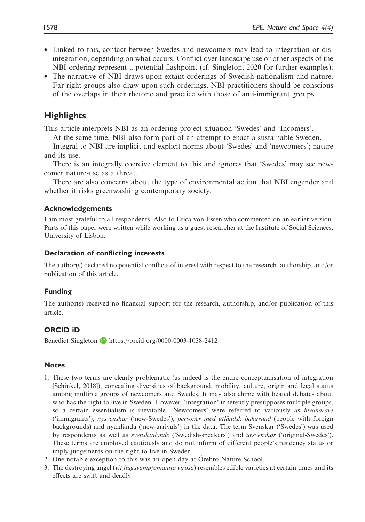- Linked to this, contact between Swedes and newcomers may lead to integration or disintegration, depending on what occurs. Conflict over landscape use or other aspects of the NBI ordering represent a potential flashpoint (cf. Singleton, 2020 for further examples).
- The narrative of NBI draws upon extant orderings of Swedish nationalism and nature. Far right groups also draw upon such orderings. NBI practitioners should be conscious of the overlaps in their rhetoric and practice with those of anti-immigrant groups.

# **Highlights**

This article interprets NBI as an ordering project situation 'Swedes' and 'Incomers'.

At the same time, NBI also form part of an attempt to enact a sustainable Sweden.

Integral to NBI are implicit and explicit norms about 'Swedes' and 'newcomers'; nature and its use.

There is an integrally coercive element to this and ignores that 'Swedes' may see newcomer nature-use as a threat.

There are also concerns about the type of environmental action that NBI engender and whether it risks greenwashing contemporary society.

## Acknowledgements

I am most grateful to all respondents. Also to Erica von Essen who commented on an earlier version. Parts of this paper were written while working as a guest researcher at the Institute of Social Sciences, University of Lisbon.

## Declaration of conflicting interests

The author(s) declared no potential conflicts of interest with respect to the research, authorship, and/or publication of this article.

# Funding

The author(s) received no financial support for the research, authorship, and/or publication of this article.

# ORCID iD

Benedict Singleton  $\blacksquare$  <https://orcid.org/0000-0003-1038-2412>

# **Notes**

- 1. These two terms are clearly problematic (as indeed is the entire conceptualisation of integration [Schinkel, 2018]), concealing diversities of background, mobility, culture, origin and legal status among multiple groups of newcomers and Swedes. It may also chime with heated debates about who has the right to live in Sweden. However, 'integration' inherently presupposes multiple groups, so a certain essentialism is inevitable. 'Newcomers' were referred to variously as invandrare ('immigrants'), nysvenskar ('new-Swedes'), personer med utländsk bakgrund (people with foreign backgrounds) and nyanlända ('new-arrivals') in the data. The term Svenskar ('Swedes') was used by respondents as well as svensktalande ('Swedish-speakers') and ursvenskar ('original-Swedes'). These terms are employed cautiously and do not inform of different people's residency status or imply judgements on the right to live in Sweden.
- 2. One notable exception to this was an open day at Örebro Nature School.
- 3. The destroying angel (vit flugsvamp/amanita virosa) resembles edible varieties at certain times and its effects are swift and deadly.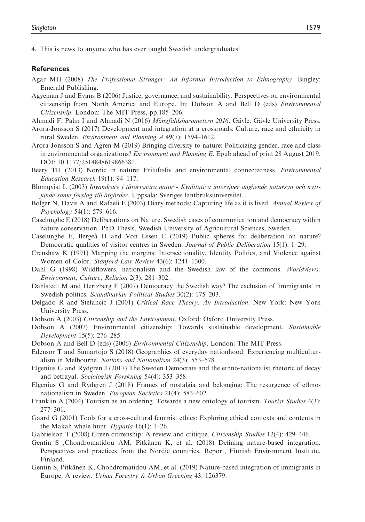4. This is news to anyone who has ever taught Swedish undergraduates!

#### References

- Agar MH (2008) The Professional Stranger: An Informal Introduction to Ethnography. Bingley: Emerald Publishing.
- Agyeman J and Evans B (2006) Justice, governance, and sustainability: Perspectives on environmental citizenship from North America and Europe. In: Dobson A and Bell D (eds) Environmental Citizenship. London: The MIT Press, pp.185–206.
- Ahmadi F, Palm I and Ahmadi N (2016) Mångfaldsbarometern 2016. Gävle: Gävle University Press.
- Arora-Jonsson S (2017) Development and integration at a crossroads: Culture, race and ethnicity in rural Sweden. Environment and Planning A 49(7): 1594–1612.
- Arora-Jonsson S and Agren M (2019) Bringing diversity to nature: Politicizing gender, race and class in environmental organizations? *Environment and Planning E*. Epub ahead of print 28 August 2019. DOI: 10.1177/2514848619866381.
- Beery TH (2013) Nordic in nature: Friluftsliv and environmental connectedness. *Environmental* Education Research 19(1): 94–117.
- Blomqvist L (2003) Invandrare i tätortsnära natur Kvalitativa intervjuer angående natursyn och nyttjande same förslag till åtgärder. Uppsala: Sveriges lantbruksuniversitet.
- Bolger N, Davis A and Rafaeli E (2003) Diary methods: Capturing life as it is lived. Annual Review of Psychology 54(1): 579–616.
- Caselunghe E (2018) Deliberations on Nature. Swedish cases of communication and democracy within nature conservation. PhD Thesis, Swedish University of Agricultural Sciences, Sweden.
- Caselunghe E, Bergeå H and Von Essen E (2019) Public spheres for deliberation on nature? Democratic qualities of visitor centres in Sweden. Journal of Public Deliberation 15(1): 1–29.
- Crenshaw K (1991) Mapping the margins: Intersectionality, Identity Politics, and Violence against Women of Color. Stanford Law Review 43(6): 1241–1300.
- Dahl G (1998) Wildflowers, nationalism and the Swedish law of the commons. Worldviews: Environment, Culture, Religion 2(3): 281–302.
- Dahlstedt M and Hertzberg F (2007) Democracy the Swedish way? The exclusion of 'immigrants' in Swedish politics. Scandinavian Political Studies 30(2): 175–203.
- Delgado R and Stefancic J (2001) Critical Race Theory. An Introduction. New York: New York University Press.
- Dobson A (2003) Citizenship and the Environment. Oxford: Oxford University Press.
- Dobson A (2007) Environmental citizenship: Towards sustainable development. Sustainable Development 15(5): 276–285.
- Dobson A and Bell D (eds) (2006) *Environmental Citizenship*. London: The MIT Press.
- Edensor T and Sumartojo S (2018) Geographies of everyday nationhood: Experiencing multiculturalism in Melbourne. Nations and Nationalism 24(3): 553–578.
- Elgenius G and Rydgren J (2017) The Sweden Democrats and the ethno-nationalist rhetoric of decay and betrayal. Sociologisk Forskning 54(4): 353–358.
- Elgenius G and Rydgren J (2018) Frames of nostalgia and belonging: The resurgence of ethnonationalism in Sweden. European Societies 21(4): 583–602.
- Franklin A (2004) Tourism as an ordering. Towards a new ontology of tourism. Tourist Studies 4(3): 277–301.
- Gaard G (2001) Tools for a cross-cultural feminist ethics: Exploring ethical contexts and contents in the Makah whale hunt. *Hypatia* 16(1):  $1-26$ .
- Gabrielson T (2008) Green citizenship: A review and critique. Citizenship Studies 12(4): 429–446.
- Gentin S ,Chondromatidou AM, Pitkänen K, et al. (2018) Defining nature-based integration. Perspectives and practices from the Nordic countries. Report, Finnish Environment Institute, Finland.
- Gentin S, Pitkänen K, Chondromatidou AM, et al. (2019) Nature-based integration of immigrants in Europe: A review. Urban Forestry & Urban Greening 43: 126379.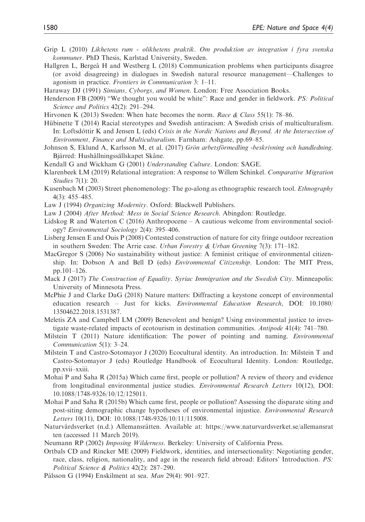- Grip L (2010) Likhetens rum olikhetens praktik. Om produktion av integration i fyra svenska kommuner. PhD Thesis, Karlstad University, Sweden.
- Hallgren L, Bergeå H and Westberg L (2018) Communication problems when participants disagree (or avoid disagreeing) in dialogues in Swedish natural resource management—Challenges to agonism in practice. Frontiers in Communication 3: 1–11.
- Haraway DJ (1991) Simians, Cyborgs, and Women. London: Free Association Books.
- Henderson FB (2009) "We thought you would be white": Race and gender in fieldwork. PS: Political Science and Politics 42(2): 291–294.
- Hirvonen K (2013) Sweden: When hate becomes the norm. Race & Class 55(1): 78–86.
- Hübinette T (2014) Racial stereotypes and Swedish antiracism: A Swedish crisis of multiculturalism. In: Loftsdóttir K and Jensen L (eds) Crisis in the Nordic Nations and Beyond. At the Intersection of Environment, Finance and Multiculturalism. Farnham: Ashgate, pp.69–85.
- Johnson S, Eklund A, Karlsson M, et al. (2017) Grön arbetsförmedling -beskrivning och handledning. Bjärred: Hushållningssällskapet Skåne.
- Kendall G and Wickham G (2001) Understanding Culture. London: SAGE.
- Klarenbeek LM (2019) Relational integration: A response to Willem Schinkel. Comparative Migration Studies 7(1): 20.
- Kusenbach M (2003) Street phenomenology: The go-along as ethnographic research tool. Ethnography 4(3): 455–485.
- Law J (1994) Organizing Modernity. Oxford: Blackwell Publishers.
- Law J (2004) After Method: Mess in Social Science Research. Abingdon: Routledge.
- Lidskog R and Waterton C (2016) Anthropocene A cautious welcome from environmental sociology? Environmental Sociology 2(4): 395–406.
- Lisberg Jensen E and Ouis P (2008) Contested construction of nature for city fringe outdoor recreation in southern Sweden: The Arrie case. Urban Forestry & Urban Greening  $7(3)$ : 171–182.
- MacGregor S (2006) No sustainability without justice: A feminist critique of environmental citizenship. In: Dobson A and Bell D (eds) Environmental Citizenship. London: The MIT Press, pp.101–126.
- Mack J (2017) The Construction of Equality. Syriac Immigration and the Swedish City. Minneapolis: University of Minnesota Press.
- McPhie J and Clarke DaG (2018) Nature matters: Diffracting a keystone concept of environmental education research – Just for kicks. Environmental Education Research, DOI: 10.1080/ 13504622.2018.1531387.
- Meletis ZA and Campbell LM (2009) Benevolent and benign? Using environmental justice to investigate waste-related impacts of ecotourism in destination communities. Antipode 41(4): 741–780.
- Milstein T (2011) Nature identification: The power of pointing and naming. *Environmental* Communication 5(1): 3–24.
- Milstein T and Castro-Sotomayor J (2020) Ecocultural identity. An introduction. In: Milstein T and Castro-Sotomayor J (eds) Routledge Handbook of Ecocultural Identity. London: Routledge, pp.xvii–xxiii.
- Mohai P and Saha R (2015a) Which came first, people or pollution? A review of theory and evidence from longitudinal environmental justice studies. *Environmental Research Letters* 10(12), DOI: 10.1088/1748-9326/10/12/125011.
- Mohai P and Saha R (2015b) Which came first, people or pollution? Assessing the disparate siting and post-siting demographic change hypotheses of environmental injustice. *Environmental Research* Letters 10(11), DOI: 10.1088/1748-9326/10/11/115008.
- Naturvårdsverket (n.d.) Allemansrätten. Available at: [https://www.naturvardsverket.se/allemansrat](https://www.naturvardsverket.se/allemansratten) [ten](https://www.naturvardsverket.se/allemansratten) (accessed 11 March 2019).
- Neumann RP (2002) Imposing Wilderness. Berkeley: University of California Press.
- Ortbals CD and Rincker ME (2009) Fieldwork, identities, and intersectionality: Negotiating gender, race, class, religion, nationality, and age in the research field abroad: Editors' Introduction. PS: Political Science & Politics 42(2): 287–290.
- Pálsson G (1994) Enskilment at sea. Man 29(4): 901–927.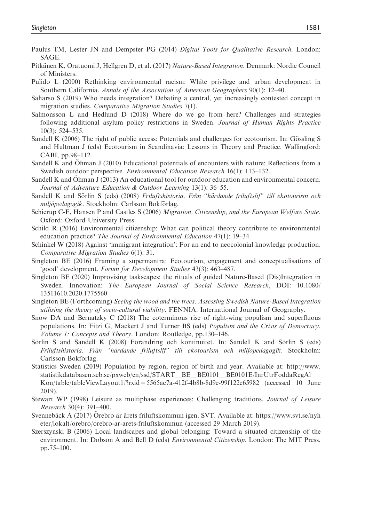- Paulus TM, Lester JN and Dempster PG (2014) Digital Tools for Qualitative Research. London: SAGE.
- Pitkänen K, Oratuomi J, Hellgren D, et al. (2017) Nature-Based Integration. Denmark: Nordic Council of Ministers.
- Pulido L (2000) Rethinking environmental racism: White privilege and urban development in Southern California. Annals of the Association of American Geographers 90(1): 12–40.
- Saharso S (2019) Who needs integration? Debating a central, yet increasingly contested concept in migration studies. Comparative Migration Studies 7(1).
- Salmonsson L and Hedlund D (2018) Where do we go from here? Challenges and strategies following additional asylum policy restrictions in Sweden. Journal of Human Rights Practice 10(3): 524–535.
- Sandell K (2006) The right of public access: Potentials and challenges for ecotourism. In: Gössling S and Hultman J (eds) Ecotourism in Scandinavia: Lessons in Theory and Practice. Wallingford: CABI, pp.98–112.
- Sandell K and Ohman J (2010) Educational potentials of encounters with nature: Reflections from a Swedish outdoor perspective. Environmental Education Research 16(1): 113–132.
- Sandell K and Ohman J (2013) An educational tool for outdoor education and environmental concern. Journal of Adventure Education & Outdoor Learning 13(1): 36–55.
- Sandell K and Sörlin S (eds) (2008) Friluftshistoria. Från "härdande friluftslif" till ekotourism och miljöpedagogik. Stockholm: Carlsson Bokförlag.
- Schierup C-E, Hansen P and Castles S (2006) Migration, Citizenship, and the European Welfare State. Oxford: Oxford University Press.
- Schild R (2016) Environmental citizenship: What can political theory contribute to environmental education practice? The Journal of Environmental Education 47(1): 19–34.
- Schinkel W (2018) Against 'immigrant integration': For an end to neocolonial knowledge production. Comparative Migration Studies 6(1): 31.
- Singleton BE (2016) Framing a supermantra: Ecotourism, engagement and conceptualisations of 'good' development. Forum for Development Studies 43(3): 463–487.
- Singleton BE (2020) Improvising taskscapes: the rituals of guided Nature-Based (Dis)Integration in Sweden. Innovation: The European Journal of Social Science Research, DOI: 10.1080/ 13511610.2020.1775560
- Singleton BE (Forthcoming) Seeing the wood and the trees. Assessing Swedish Nature-Based Integration utilising the theory of socio-cultural viability. FENNIA. International Journal of Geography.
- Snow DA and Bernatzky C (2018) The coterminous rise of right-wing populism and superfluous populations. In: Fitzi G, Mackert J and Turner BS (eds) Populism and the Crisis of Democracy. Volume 1: Concepts and Theory. London: Routledge, pp.130–146.
- Sörlin S and Sandell K (2008) Förändring och kontinuitet. In: Sandell K and Sörlin S (eds) Friluftshistoria. Från "härdande friluftslif" till ekotourism och miljöpedagogik. Stockholm: Carlsson Bokförlag.
- Statistics Sweden (2019) Population by region, region of birth and year. Available at: [http://www.](http://www.statistikdatabasen.scb.se/pxweb/en/ssd/START__BE__BE0101__BE0101E/InrUtrFoddaRegAlKon/table/tableViewLayout1/?rxid=5565ac7a-412f-4b8b-8d9e-99f122e65982) [statistikdatabasen.scb.se/pxweb/en/ssd/START\\_\\_BE\\_\\_BE0101\\_\\_BE0101E/InrUtrFoddaRegAl](http://www.statistikdatabasen.scb.se/pxweb/en/ssd/START__BE__BE0101__BE0101E/InrUtrFoddaRegAlKon/table/tableViewLayout1/?rxid=5565ac7a-412f-4b8b-8d9e-99f122e65982) [Kon/table/tableViewLayout1/?rxid=5565ac7a-412f-4b8b-8d9e-99f122e65982](http://www.statistikdatabasen.scb.se/pxweb/en/ssd/START__BE__BE0101__BE0101E/InrUtrFoddaRegAlKon/table/tableViewLayout1/?rxid=5565ac7a-412f-4b8b-8d9e-99f122e65982) (accessed 10 June 2019).
- Stewart WP (1998) Leisure as multiphase experiences: Challenging traditions. Journal of Leisure Research 30(4): 391–400.
- Svennebäck  $\dot{A}$  (2017) Orebro är årets friluftskommun igen. SVT. Available at: [https://www.svt.se/nyh](https://www.svt.se/nyheter/lokalt/orebro/orebro-ar-arets-friluftskommun) [eter/lokalt/orebro/orebro-ar-arets-friluftskommun](https://www.svt.se/nyheter/lokalt/orebro/orebro-ar-arets-friluftskommun) (accessed 29 March 2019).
- Szerszynski B (2006) Local landscapes and global belonging: Toward a situated citizenship of the environment. In: Dobson A and Bell D (eds) *Environmental Citizenship*. London: The MIT Press, pp.75–100.